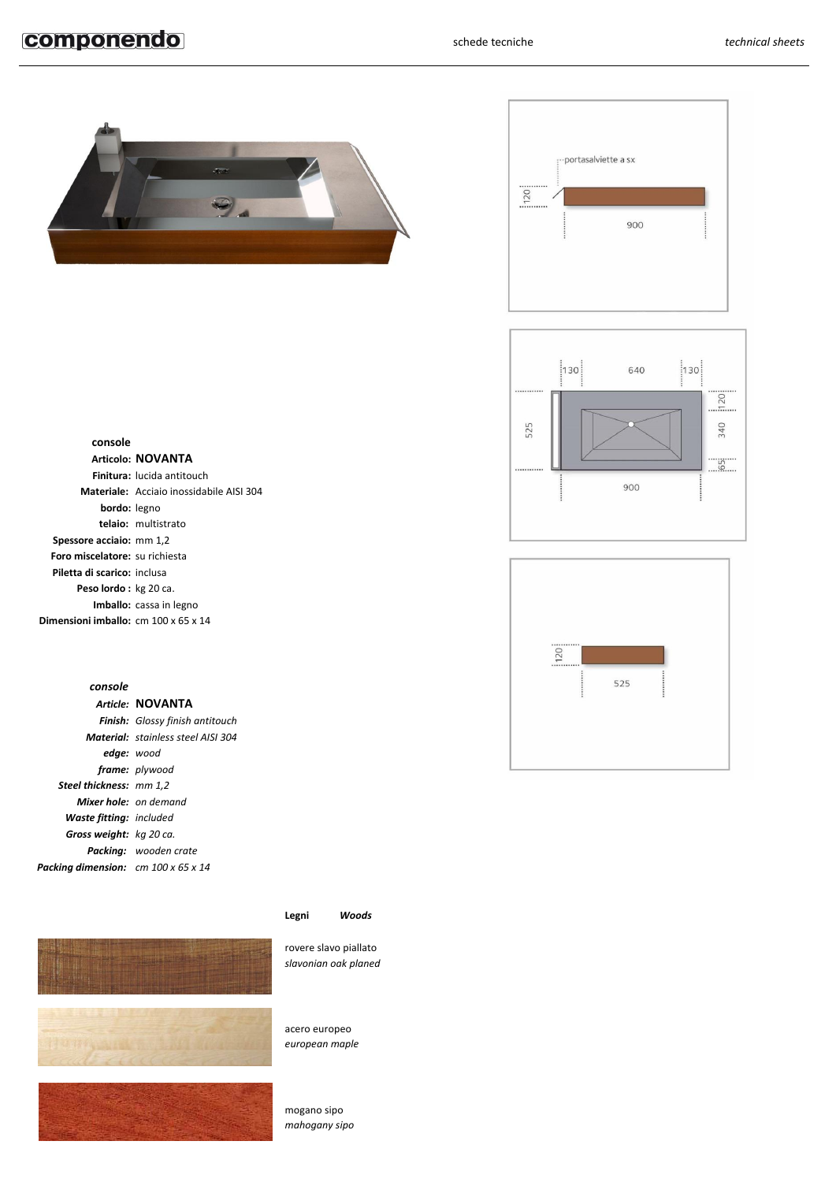# componendo









## **console**

|                                                             | Articolo: NOVANTA                        |
|-------------------------------------------------------------|------------------------------------------|
|                                                             | Finitura: lucida antitouch               |
|                                                             | Materiale: Acciaio inossidabile AISI 304 |
| <b>bordo:</b> legno                                         |                                          |
|                                                             | telaio: multistrato                      |
| Spessore acciaio: mm 1,2                                    |                                          |
| Foro miscelatore: su richiesta                              |                                          |
| Piletta di scarico: inclusa                                 |                                          |
| <b>Peso lordo:</b> kg 20 ca.                                |                                          |
|                                                             | <b>Imballo:</b> cassa in legno           |
| <b>Dimensioni imballo:</b> $cm$ 100 $\times$ 65 $\times$ 14 |                                          |
|                                                             |                                          |

## *console*

|                                            | Article: NOVANTA                          |
|--------------------------------------------|-------------------------------------------|
|                                            | Finish: Glossy finish antitouch           |
|                                            | <b>Material:</b> stainless steel AISI 304 |
| <b>edge:</b> wood                          |                                           |
|                                            | frame: plywood                            |
| <b>Steel thickness: mm 1,2</b>             |                                           |
| <b>Mixer hole:</b> on demand               |                                           |
| <b>Waste fitting:</b> included             |                                           |
| Gross weight: kg 20 ca.                    |                                           |
|                                            | <b>Packina:</b> wooden crate              |
| <b>Packina dimension:</b> cm 100 x 65 x 14 |                                           |



## **Legni** *Woods*

rovere slavo piallato *slavonian oak planed*

acero europeo *european maple*

mogano sipo *mahogany sipo*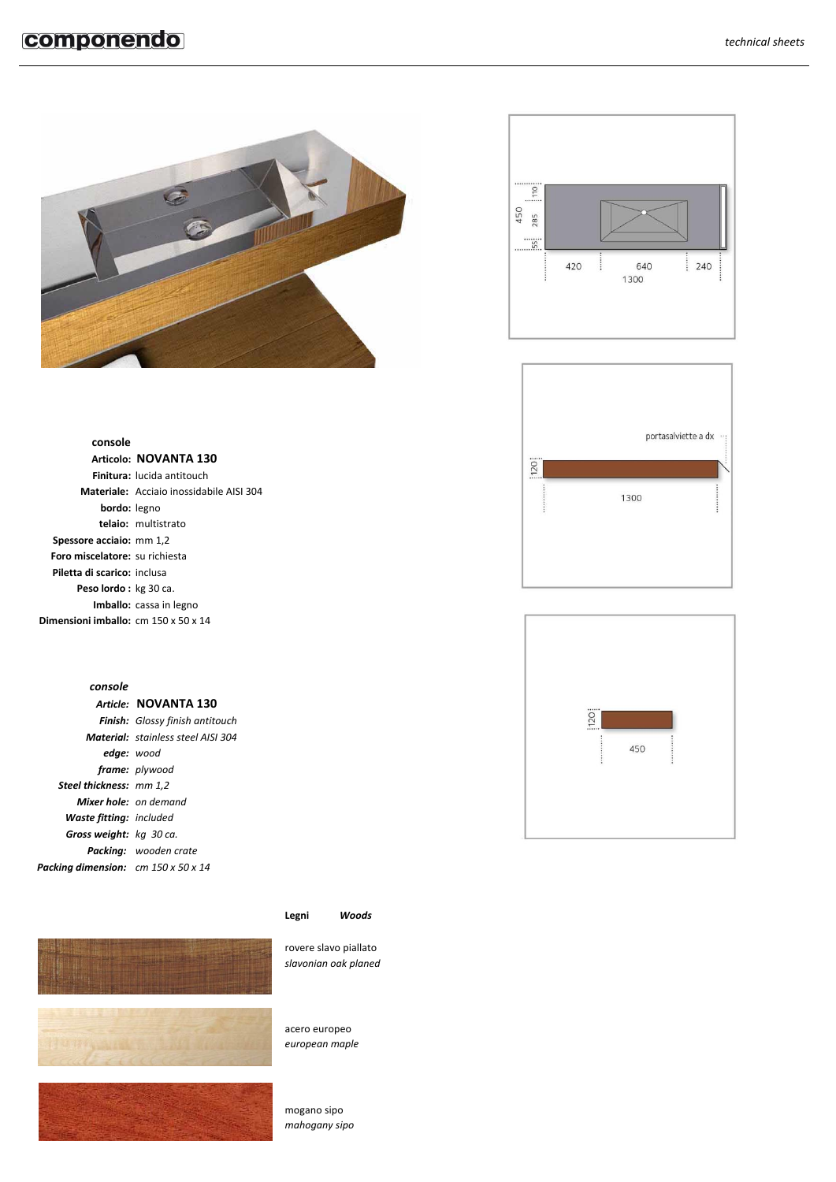







## **console**

|                                                         | Articolo: NOVANTA 130                    |
|---------------------------------------------------------|------------------------------------------|
|                                                         | <b>Finitura:</b> lucida antitouch        |
|                                                         | Materiale: Acciaio inossidabile AISI 304 |
| <b>bordo:</b> legno                                     |                                          |
|                                                         | telaio: multistrato                      |
| Spessore acciaio: mm 1,2                                |                                          |
| Foro miscelatore: su richiesta                          |                                          |
| Piletta di scarico: inclusa                             |                                          |
| <b>Peso lordo:</b> kg 30 ca.                            |                                          |
|                                                         | Imballo: cassa in legno                  |
| <b>Dimensioni imballo:</b> cm $150 \times 50 \times 14$ |                                          |
|                                                         |                                          |

## *console*

|                                            | Article: NOVANTA 130                      |
|--------------------------------------------|-------------------------------------------|
|                                            | Finish: Glossy finish antitouch           |
|                                            | <b>Material:</b> stainless steel AISI 304 |
| edge: wood                                 |                                           |
|                                            | frame: plywood                            |
| <b>Steel thickness: mm 1,2</b>             |                                           |
| <b>Mixer hole:</b> on demand               |                                           |
| <b>Waste fitting:</b> included             |                                           |
| Gross weight: kg 30 ca.                    |                                           |
|                                            | <b>Packina:</b> wooden crate              |
| <b>Packing dimension:</b> cm 150 x 50 x 14 |                                           |



## **Legni** *Woods*

rovere slavo piallato *slavonian oak planed*

acero europeo *european maple*

mogano sipo *mahogany sipo*